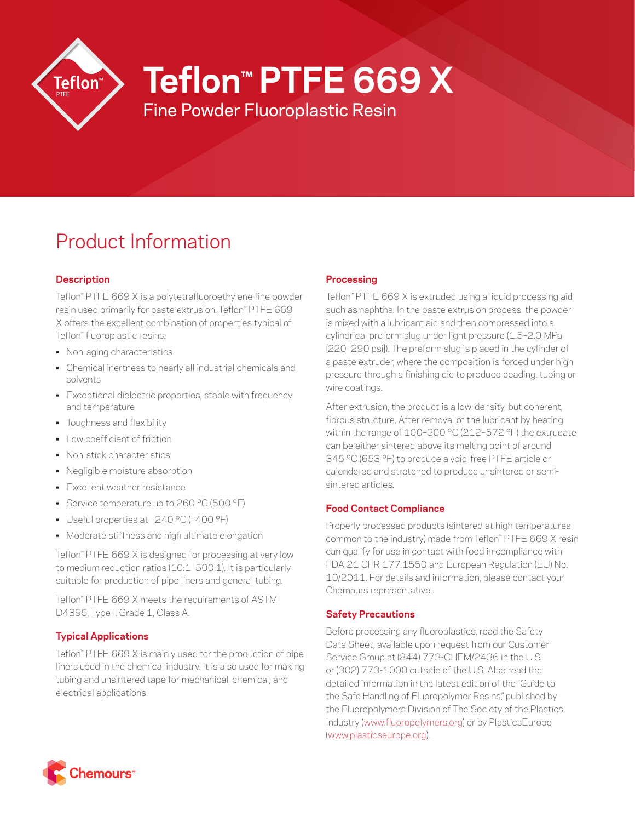

**Teflon™ PTFE 669 X**

Fine Powder Fluoroplastic Resin

# Product Information

## **Description**

Teflon™ PTFE 669 X is a polytetrafluoroethylene fine powder resin used primarily for paste extrusion. Teflon™ PTFE 669 X offers the excellent combination of properties typical of Teflon™ fluoroplastic resins:

- Non-aging characteristics
- Chemical inertness to nearly all industrial chemicals and solvents
- Exceptional dielectric properties, stable with frequency and temperature
- Toughness and flexibility
- Low coefficient of friction
- Non-stick characteristics
- Negligible moisture absorption
- Excellent weather resistance
- Service temperature up to 260 °C (500 °F)
- Useful properties at –240 °C (–400 °F)
- Moderate stiffness and high ultimate elongation

Teflon™ PTFE 669 X is designed for processing at very low to medium reduction ratios (10:1–500:1). It is particularly suitable for production of pipe liners and general tubing.

Teflon™ PTFE 669 X meets the requirements of ASTM D4895, Type I, Grade 1, Class A.

## **Typical Applications**

Teflon™ PTFE 669 X is mainly used for the production of pipe liners used in the chemical industry. It is also used for making tubing and unsintered tape for mechanical, chemical, and electrical applications.

## **Processing**

Teflon™ PTFE 669 X is extruded using a liquid processing aid such as naphtha. In the paste extrusion process, the powder is mixed with a lubricant aid and then compressed into a cylindrical preform slug under light pressure (1.5–2.0 MPa [220–290 psi]). The preform slug is placed in the cylinder of a paste extruder, where the composition is forced under high pressure through a finishing die to produce beading, tubing or wire coatings.

After extrusion, the product is a low-density, but coherent, fibrous structure. After removal of the lubricant by heating within the range of 100–300 °C (212–572 °F) the extrudate can be either sintered above its melting point of around 345 °C (653 °F) to produce a void-free PTFE article or calendered and stretched to produce unsintered or semisintered articles.

## **Food Contact Compliance**

Properly processed products (sintered at high temperatures common to the industry) made from Teflon™ PTFE 669 X resin can qualify for use in contact with food in compliance with FDA 21 CFR 177.1550 and European Regulation (EU) No. 10/2011. For details and information, please contact your Chemours representative.

## **Safety Precautions**

Before processing any fluoroplastics, read the Safety Data Sheet, available upon request from our Customer Service Group at (844) 773-CHEM/2436 in the U.S. or (302) 773-1000 outside of the U.S. Also read the detailed information in the latest edition of the "Guide to the Safe Handling of Fluoropolymer Resins," published by the Fluoropolymers Division of The Society of the Plastics Industry ([www.fluoropolymers.org](http://www.fluoropolymers.org)) or by PlasticsEurope [\(www.plasticseurope.org](http://www.plasticseurope.org)).